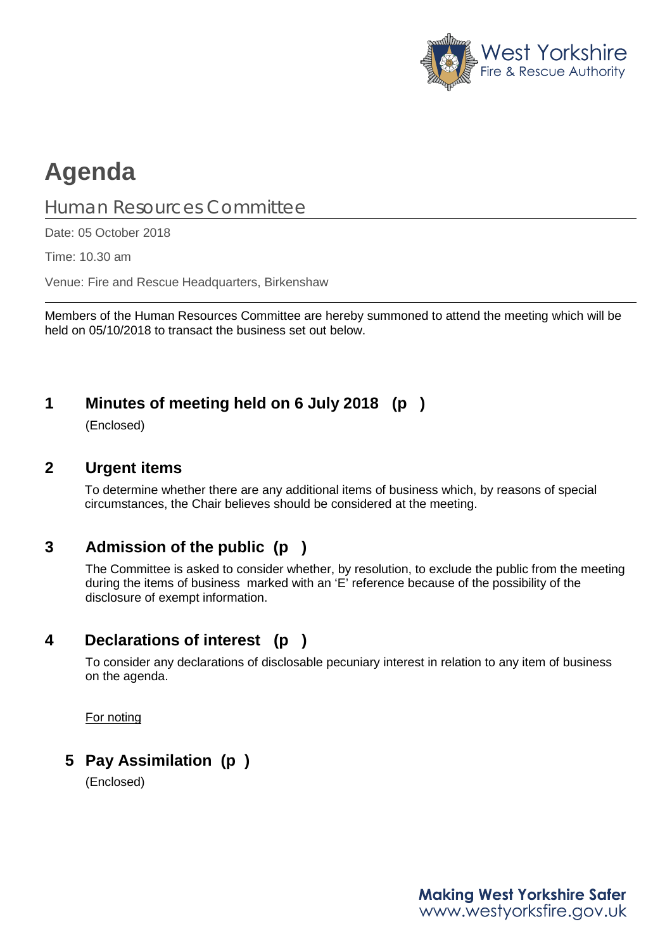

# **Agenda**

## Human Resources Committee

Date: 05 October 2018

Time: 10.30 am

Venue: Fire and Rescue Headquarters, Birkenshaw

Members of the Human Resources Committee are hereby summoned to attend the meeting which will be held on 05/10/2018 to transact the business set out below.

#### **1 Minutes of meeting held on 6 July 2018 (p )**

(Enclosed)

#### **2 Urgent items**

To determine whether there are any additional items of business which, by reasons of special circumstances, the Chair believes should be considered at the meeting.

## **3 Admission of the public (p )**

The Committee is asked to consider whether, by resolution, to exclude the public from the meeting during the items of business marked with an 'E' reference because of the possibility of the disclosure of exempt information.

## **4 Declarations of interest (p )**

To consider any declarations of disclosable pecuniary interest in relation to any item of business on the agenda.

For noting

## **5 Pay Assimilation (p )**

(Enclosed)

**Making West Yorkshire Safer** www.westyorksfire.gov.uk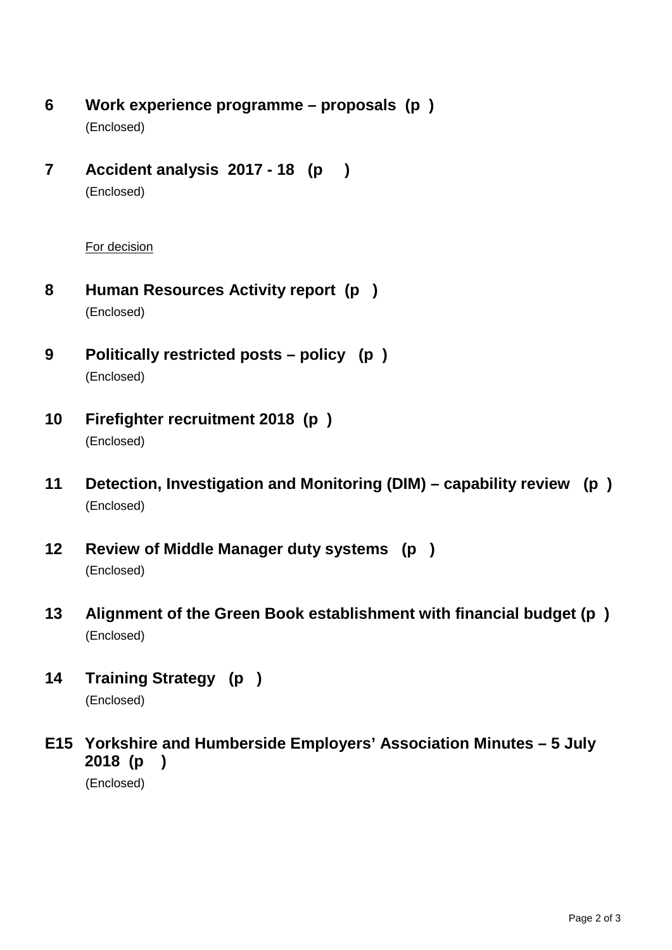- **6 Work experience programme – proposals (p )**  (Enclosed)
- **7 Accident analysis 2017 - 18 (p )** (Enclosed)

For decision

- **8 Human Resources Activity report (p )**  (Enclosed)
- **9 Politically restricted posts – policy (p )** (Enclosed)
- **10 Firefighter recruitment 2018 (p )**  (Enclosed)
- **11 Detection, Investigation and Monitoring (DIM) – capability review (p )**  (Enclosed)
- **12 Review of Middle Manager duty systems (p )** (Enclosed)
- **13 Alignment of the Green Book establishment with financial budget (p )**  (Enclosed)
- **14 Training Strategy (p )**  (Enclosed)
- **E15 Yorkshire and Humberside Employers' Association Minutes – 5 July 2018 (p )**

(Enclosed)